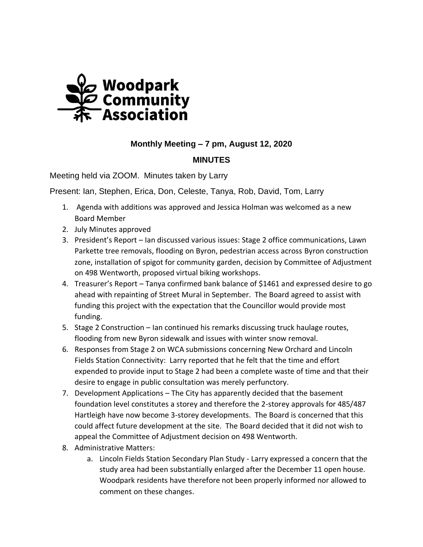

## **Monthly Meeting – 7 pm, August 12, 2020**

## **MINUTES**

Meeting held via ZOOM. Minutes taken by Larry

Present: Ian, Stephen, Erica, Don, Celeste, Tanya, Rob, David, Tom, Larry

- 1. Agenda with additions was approved and Jessica Holman was welcomed as a new Board Member
- 2. July Minutes approved
- 3. President's Report Ian discussed various issues: Stage 2 office communications, Lawn Parkette tree removals, flooding on Byron, pedestrian access across Byron construction zone, installation of spigot for community garden, decision by Committee of Adjustment on 498 Wentworth, proposed virtual biking workshops.
- 4. Treasurer's Report Tanya confirmed bank balance of \$1461 and expressed desire to go ahead with repainting of Street Mural in September. The Board agreed to assist with funding this project with the expectation that the Councillor would provide most funding.
- 5. Stage 2 Construction Ian continued his remarks discussing truck haulage routes, flooding from new Byron sidewalk and issues with winter snow removal.
- 6. Responses from Stage 2 on WCA submissions concerning New Orchard and Lincoln Fields Station Connectivity: Larry reported that he felt that the time and effort expended to provide input to Stage 2 had been a complete waste of time and that their desire to engage in public consultation was merely perfunctory.
- 7. Development Applications The City has apparently decided that the basement foundation level constitutes a storey and therefore the 2-storey approvals for 485/487 Hartleigh have now become 3-storey developments. The Board is concerned that this could affect future development at the site. The Board decided that it did not wish to appeal the Committee of Adjustment decision on 498 Wentworth.
- 8. Administrative Matters:
	- a. Lincoln Fields Station Secondary Plan Study Larry expressed a concern that the study area had been substantially enlarged after the December 11 open house. Woodpark residents have therefore not been properly informed nor allowed to comment on these changes.